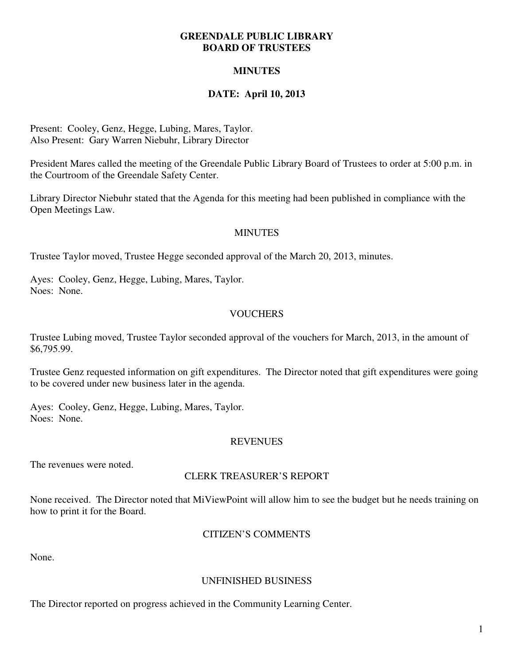#### **GREENDALE PUBLIC LIBRARY BOARD OF TRUSTEES**

## **MINUTES**

## **DATE: April 10, 2013**

Present: Cooley, Genz, Hegge, Lubing, Mares, Taylor. Also Present: Gary Warren Niebuhr, Library Director

President Mares called the meeting of the Greendale Public Library Board of Trustees to order at 5:00 p.m. in the Courtroom of the Greendale Safety Center.

Library Director Niebuhr stated that the Agenda for this meeting had been published in compliance with the Open Meetings Law.

#### **MINUTES**

Trustee Taylor moved, Trustee Hegge seconded approval of the March 20, 2013, minutes.

Ayes: Cooley, Genz, Hegge, Lubing, Mares, Taylor. Noes: None.

## **VOUCHERS**

Trustee Lubing moved, Trustee Taylor seconded approval of the vouchers for March, 2013, in the amount of \$6,795.99.

Trustee Genz requested information on gift expenditures. The Director noted that gift expenditures were going to be covered under new business later in the agenda.

Ayes: Cooley, Genz, Hegge, Lubing, Mares, Taylor. Noes: None.

#### **REVENUES**

The revenues were noted.

#### CLERK TREASURER'S REPORT

None received. The Director noted that MiViewPoint will allow him to see the budget but he needs training on how to print it for the Board.

#### CITIZEN'S COMMENTS

None.

#### UNFINISHED BUSINESS

The Director reported on progress achieved in the Community Learning Center.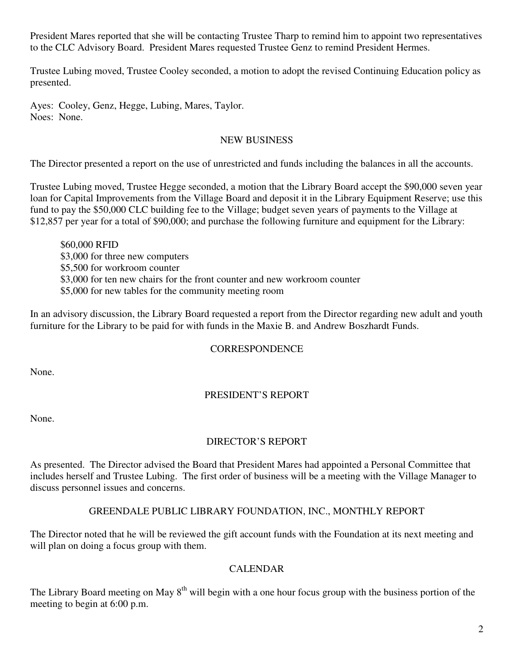President Mares reported that she will be contacting Trustee Tharp to remind him to appoint two representatives to the CLC Advisory Board. President Mares requested Trustee Genz to remind President Hermes.

Trustee Lubing moved, Trustee Cooley seconded, a motion to adopt the revised Continuing Education policy as presented.

Ayes: Cooley, Genz, Hegge, Lubing, Mares, Taylor. Noes: None.

### NEW BUSINESS

The Director presented a report on the use of unrestricted and funds including the balances in all the accounts.

Trustee Lubing moved, Trustee Hegge seconded, a motion that the Library Board accept the \$90,000 seven year loan for Capital Improvements from the Village Board and deposit it in the Library Equipment Reserve; use this fund to pay the \$50,000 CLC building fee to the Village; budget seven years of payments to the Village at \$12,857 per year for a total of \$90,000; and purchase the following furniture and equipment for the Library:

 \$60,000 RFID \$3,000 for three new computers \$5,500 for workroom counter \$3,000 for ten new chairs for the front counter and new workroom counter \$5,000 for new tables for the community meeting room

In an advisory discussion, the Library Board requested a report from the Director regarding new adult and youth furniture for the Library to be paid for with funds in the Maxie B. and Andrew Boszhardt Funds.

#### **CORRESPONDENCE**

None.

# PRESIDENT'S REPORT

None.

# DIRECTOR'S REPORT

As presented. The Director advised the Board that President Mares had appointed a Personal Committee that includes herself and Trustee Lubing. The first order of business will be a meeting with the Village Manager to discuss personnel issues and concerns.

#### GREENDALE PUBLIC LIBRARY FOUNDATION, INC., MONTHLY REPORT

The Director noted that he will be reviewed the gift account funds with the Foundation at its next meeting and will plan on doing a focus group with them.

#### CALENDAR

The Library Board meeting on May 8<sup>th</sup> will begin with a one hour focus group with the business portion of the meeting to begin at 6:00 p.m.